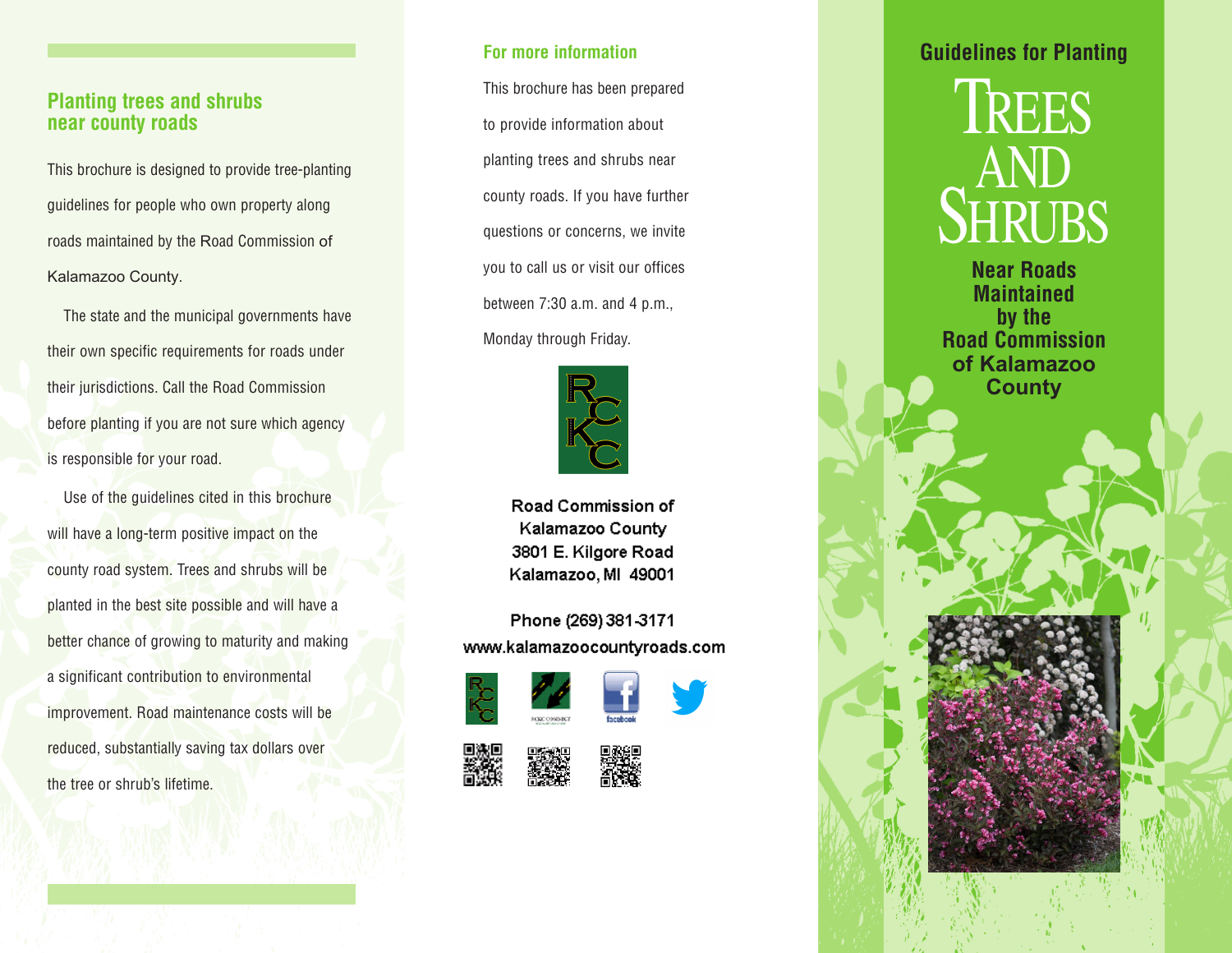# **Planting trees and shrubs near county roads**

This brochure is designed to provide tree-plantingguidelines for people who own property alongroads maintained by the Road Commission of Kalamazoo County.

The state and the municipal governments have their own specific requirements for roads under their jurisdictions. Call the Road Commission before planting if you are not sure which agency is responsible for your road.

Use of the guidelines cited in this brochure will have a long-term positive impact on the county road system. Trees and shrubs will be planted in the best site possible and will have a better chance of growing to maturity and making a significant contribution to environmental improvement. Road maintenance costs will be reduced, substantially saving tax dollars over the tree or shrub's lifetime.

## **For more information**

This brochure has been prepared to provide information about planting trees and shrubs near county roads. If you have further questions or concerns, we invite you to call us or visit our offices between 7:30 a.m. and 4 p.m., Monday through Friday.



Road Commission of Kalamazoo County 3801 E. Kilgore Road Kalamazoo, MI 49001

Phone (269) 381-3171 www.kalamazoocountyroads.com













# **Guidelines for Planting**



**Near Roads Maintained by the Road Commission of Kalamazoo County**